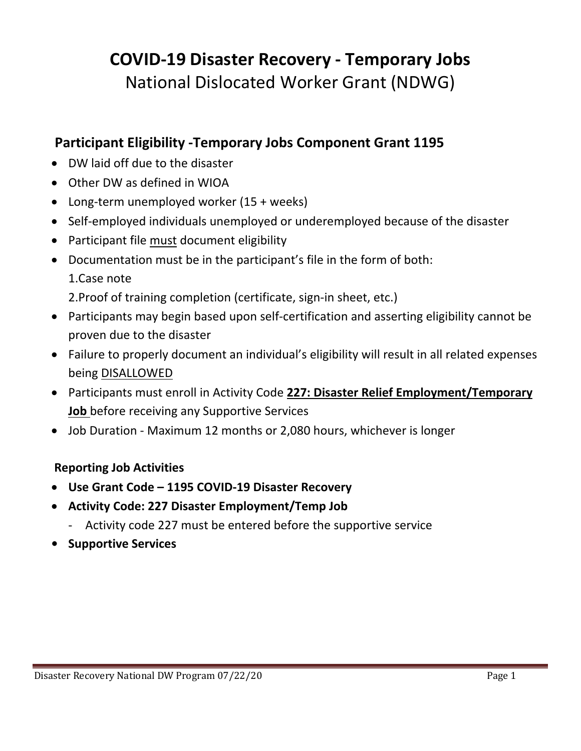# **COVID‐19 Disaster Recovery ‐ Temporary Jobs** National Dislocated Worker Grant (NDWG)

### **Participant Eligibility ‐Temporary Jobs Component Grant 1195**

- DW laid off due to the disaster
- Other DW as defined in WIOA
- Long-term unemployed worker (15 + weeks)
- Self-employed individuals unemployed or underemployed because of the disaster
- Participant file must document eligibility
- Documentation must be in the participant's file in the form of both:
	- 1.Case note

2.Proof of training completion (certificate, sign‐in sheet, etc.)

- Participants may begin based upon self-certification and asserting eligibility cannot be proven due to the disaster
- Failure to properly document an individual's eligibility will result in all related expenses being DISALLOWED
- Participants must enroll in Activity Code **227: Disaster Relief Employment/Temporary Job** before receiving any Supportive Services
- Job Duration Maximum 12 months or 2,080 hours, whichever is longer

#### **Reporting Job Activities**

- **Use Grant Code – 1195 COVID‐19 Disaster Recovery**
- **Activity Code: 227 Disaster Employment/Temp Job** 
	- ‐ Activity code 227 must be entered before the supportive service
- **• Supportive Services**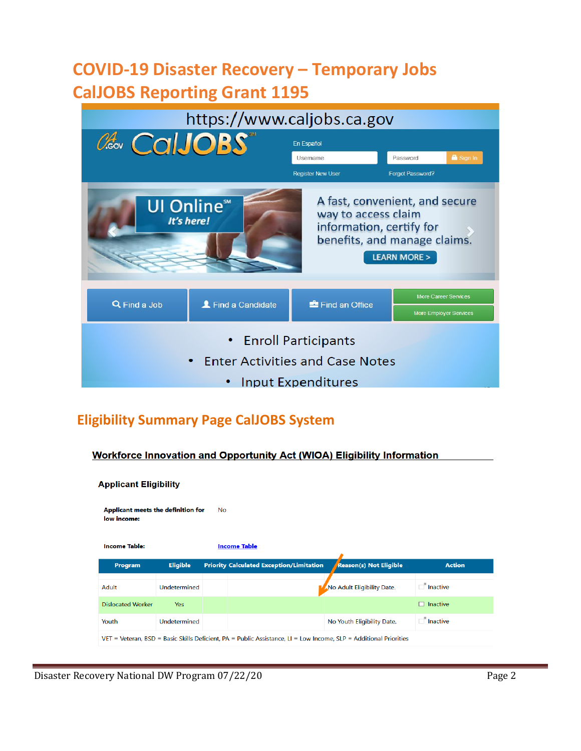## **COVID‐19 Disaster Recovery – Temporary Jobs CalJOBS Reporting Grant 1195**

| https://www.caljobs.ca.gov                                      |                                             |                                                 |                                                                                          |  |
|-----------------------------------------------------------------|---------------------------------------------|-------------------------------------------------|------------------------------------------------------------------------------------------|--|
| Caso CalJOBS<br>En Español                                      |                                             |                                                 |                                                                                          |  |
|                                                                 |                                             | Username                                        | Sign In<br>Password                                                                      |  |
|                                                                 |                                             | <b>Register New User</b>                        | Forgot Password?                                                                         |  |
|                                                                 | <b>UI Online</b> <sup>™</sup><br>It's here! | way to access claim<br>information, certify for | A fast, convenient, and secure<br>benefits, and manage claims.<br><b>LEARN MORE &gt;</b> |  |
|                                                                 |                                             |                                                 | <b>More Career Services</b>                                                              |  |
| Q Find a Job                                                    | Find a Candidate                            | Find an Office                                  | More Employer Services                                                                   |  |
| • Enroll Participants<br><b>Enter Activities and Case Notes</b> |                                             |                                                 |                                                                                          |  |
| Input Expenditures                                              |                                             |                                                 |                                                                                          |  |

## **Eligibility Summary Page CalJOBS System**

Workforce Innovation and Opportunity Act (WIOA) Eligibility Information

| <b>Applicant Eligibility</b>                            |                 |  |                                                                                                                   |                               |                 |
|---------------------------------------------------------|-----------------|--|-------------------------------------------------------------------------------------------------------------------|-------------------------------|-----------------|
| Applicant meets the definition for<br>No<br>low income: |                 |  |                                                                                                                   |                               |                 |
| <b>Income Table:</b>                                    |                 |  | <b>Income Table</b>                                                                                               |                               |                 |
| Program                                                 | <b>Eligible</b> |  | <b>Priority Calculated Exception/Limitation</b>                                                                   | <b>Reason(s) Not Eligible</b> | <b>Action</b>   |
| Adult                                                   | Undetermined    |  |                                                                                                                   | No Adult Eligibility Date.    | $\Box$ Inactive |
| <b>Dislocated Worker</b>                                | <b>Yes</b>      |  |                                                                                                                   |                               | $\Box$ Inactive |
| Youth                                                   | Undetermined    |  |                                                                                                                   | No Youth Eligibility Date.    | $\Box$ Inactive |
|                                                         |                 |  | VET = Veteran, BSD = Basic Skills Deficient, PA = Public Assistance, LI = Low Income, SLP = Additional Priorities |                               |                 |

Disaster Recovery National DW Program 07/22/20 Page 2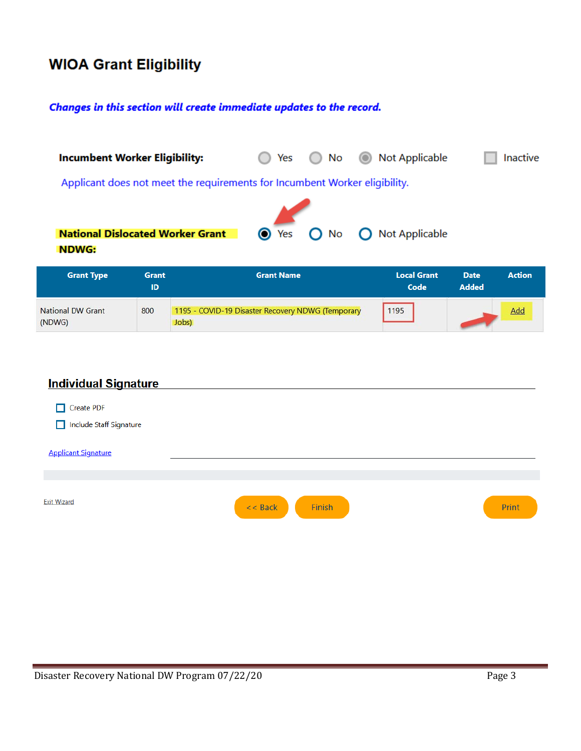## **WIOA Grant Eligibility**

#### Changes in this section will create immediate updates to the record.

|                   | <b>Incumbent Worker Eligibility:</b>                                       | No<br>Yes<br>$\bigcirc$<br>$\left( \quad \right)$ | <b>O</b> Not Applicable | Inactive                              |
|-------------------|----------------------------------------------------------------------------|---------------------------------------------------|-------------------------|---------------------------------------|
|                   | Applicant does not meet the requirements for Incumbent Worker eligibility. |                                                   |                         |                                       |
| <b>NDWG:</b>      | <b>National Dislocated Worker Grant</b>                                    | $\bullet$ Yes<br>$O$ No                           | Not Applicable          |                                       |
| <b>Grant Type</b> | <b>Grant</b><br>___                                                        | <b>Grant Name</b>                                 | <b>Local Grant</b>      | <b>Action</b><br><b>Date</b><br>----- |

| ---                                |     |                                                            | Code | <b>Added</b> |
|------------------------------------|-----|------------------------------------------------------------|------|--------------|
| <b>National DW Grant</b><br>(NDWG) | 800 | 1195 - COVID-19 Disaster Recovery NDWG (Temporary<br>lobs) | 1195 | Add          |

| <b>Individual Signature</b>                     |                     |       |
|-------------------------------------------------|---------------------|-------|
| Create PDF<br>┑<br>Include Staff Signature<br>┑ |                     |       |
| <b>Applicant Signature</b>                      |                     |       |
|                                                 |                     |       |
| <b>Exit Wizard</b>                              | Finish<br>$<<$ Back | Print |
|                                                 |                     |       |
|                                                 |                     |       |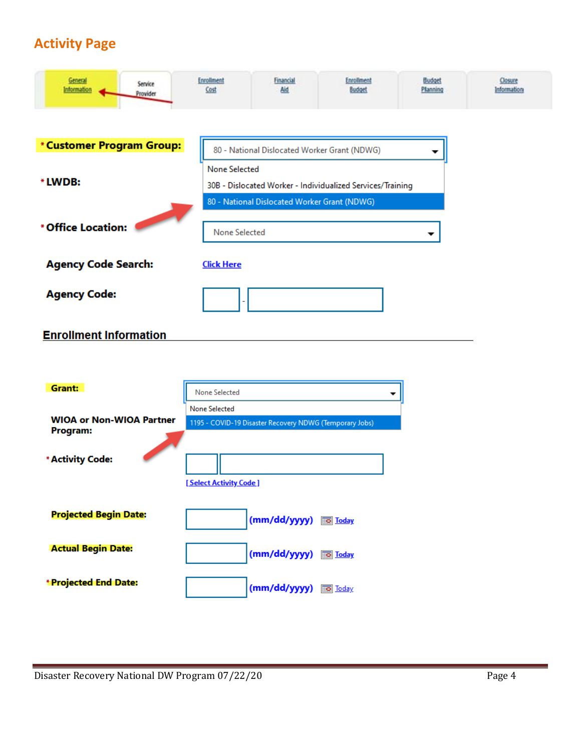## **Activity Page**

| General<br>Information        | Service<br>Provider | <b>Enrollment</b><br>Cost | <b>Financial</b><br>Aid                      | Enrollment<br>Budget                                       | Budget<br>Planning | Closure<br>Information |
|-------------------------------|---------------------|---------------------------|----------------------------------------------|------------------------------------------------------------|--------------------|------------------------|
|                               |                     |                           |                                              |                                                            |                    |                        |
| *Customer Program Group:      |                     |                           | 80 - National Dislocated Worker Grant (NDWG) |                                                            |                    |                        |
| * LWDB:                       |                     | <b>None Selected</b>      | 80 - National Dislocated Worker Grant (NDWG) | 30B - Dislocated Worker - Individualized Services/Training |                    |                        |
| * Office Location:            |                     | None Selected             |                                              |                                                            |                    |                        |
| <b>Agency Code Search:</b>    |                     | <b>Click Here</b>         |                                              |                                                            |                    |                        |
| <b>Agency Code:</b>           |                     |                           |                                              |                                                            |                    |                        |
| <b>Enrollment Information</b> |                     |                           |                                              |                                                            |                    |                        |

| Grant:                          | <b>None Selected</b>                                    |
|---------------------------------|---------------------------------------------------------|
| <b>WIOA or Non-WIOA Partner</b> | None Selected                                           |
| Program:                        | 1195 - COVID-19 Disaster Recovery NDWG (Temporary Jobs) |
| * Activity Code:                |                                                         |
|                                 | [Select Activity Code]                                  |
| <b>Projected Begin Date:</b>    | (mm/dd/yyyy) so Today                                   |
| <b>Actual Begin Date:</b>       | (mm/dd/yyyy)<br><b>Ho</b> Loday                         |
| <b>*Projected End Date:</b>     | (mm/dd/yyyy)<br><b>Today</b>                            |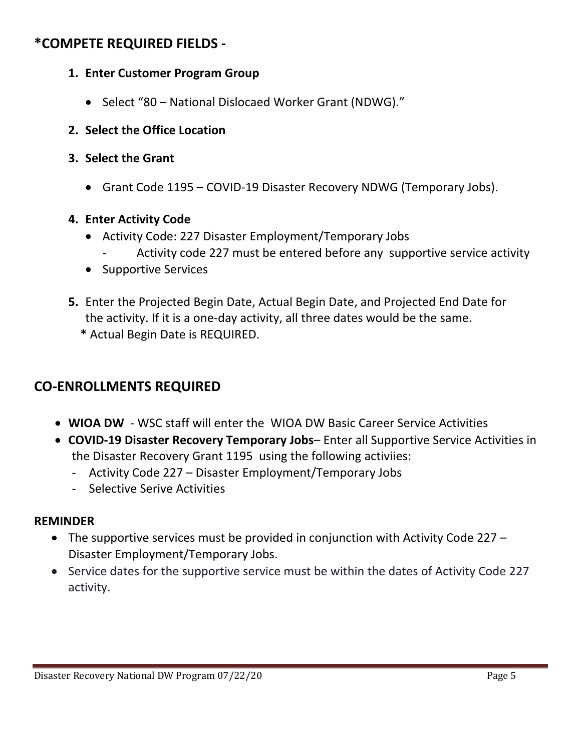### **\*COMPETE REQUIRED FIELDS ‐**

- **1. Enter Customer Program Group**
	- Select "80 National Dislocaed Worker Grant (NDWG)."
- **2. Select the Office Location**
- **3. Select the Grant** 
	- Grant Code 1195 COVID‐19 Disaster Recovery NDWG (Temporary Jobs).

#### **4. Enter Activity Code**

- Activity Code: 227 Disaster Employment/Temporary Jobs
	- ‐ Activity code 227 must be entered before any supportive service activity
- Supportive Services
- **5.** Enter the Projected Begin Date, Actual Begin Date, and Projected End Date for the activity. If it is a one‐day activity, all three dates would be the same.
	- **\*** Actual Begin Date is REQUIRED.

### **CO‐ENROLLMENTS REQUIRED**

- **WIOA DW** ‐ WSC staff will enter the WIOA DW Basic Career Service Activities
- **COVID‐19 Disaster Recovery Temporary Jobs** Enter all Supportive Service Activities in the Disaster Recovery Grant 1195 using the following activiies:
	- ‐ Activity Code 227 Disaster Employment/Temporary Jobs
	- ‐ Selective Serive Activities

#### **REMINDER**

- The supportive services must be provided in conjunction with Activity Code 227 Disaster Employment/Temporary Jobs.
- Service dates for the supportive service must be within the dates of Activity Code 227 activity.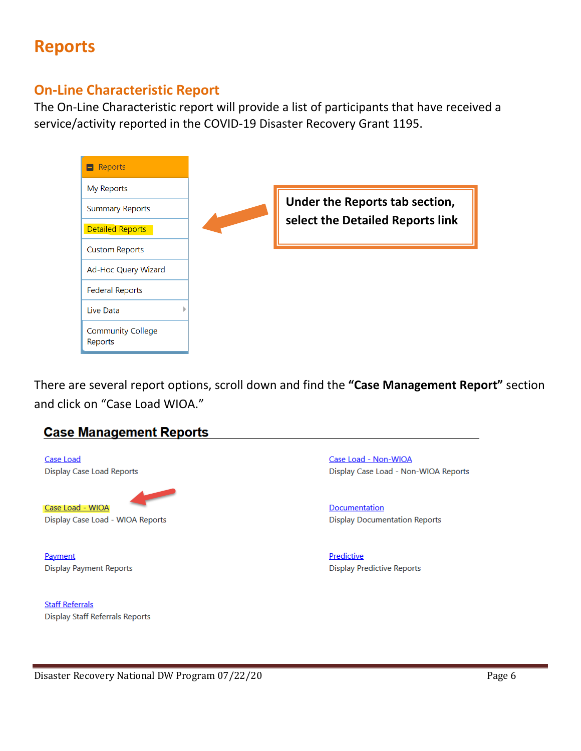## **Reports**

#### **On‐Line Characteristic Report**

The On-Line Characteristic report will provide a list of participants that have received a service/activity reported in the COVID‐19 Disaster Recovery Grant 1195.



There are several report options, scroll down and find the **"Case Management Report"** section and click on "Case Load WIOA."

#### **Case Management Reports**

Case Load **Display Case Load Reports** Case Load - WIOA Display Case Load - WIOA Reports

Payment **Display Payment Reports** 

**Staff Referrals Display Staff Referrals Reports**  Case Load - Non-WIOA Display Case Load - Non-WIOA Reports

Documentation **Display Documentation Reports** 

Predictive **Display Predictive Reports**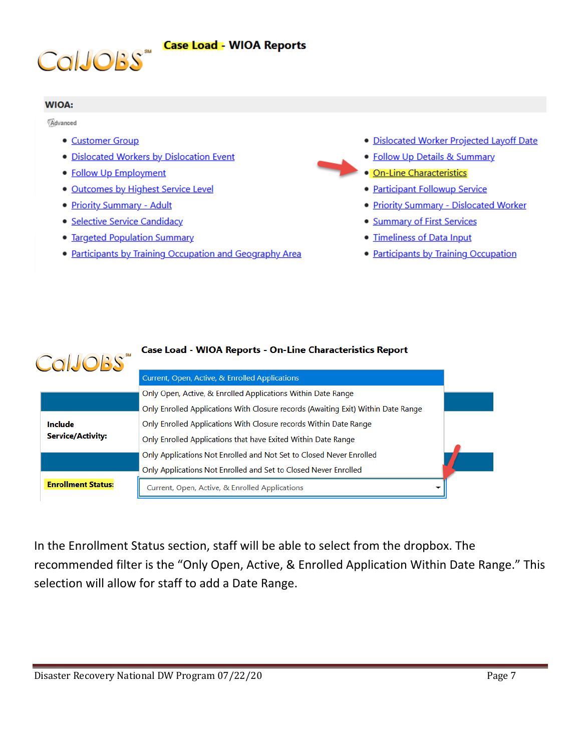



#### **WIOA:**

Advanced

- Customer Group
- · Dislocated Workers by Dislocation Event
- Follow Up Employment
- · Outcomes by Highest Service Level
- Priority Summary Adult
- · Selective Service Candidacy
- Targeted Population Summary
- Participants by Training Occupation and Geography Area
- · Dislocated Worker Projected Layoff Date
- Follow Up Details & Summary
- · On-Line Characteristics
	- Participant Followup Service
	- · Priority Summary Dislocated Worker
	- Summary of First Services
	- · Timeliness of Data Input
- Participants by Training Occupation

| <b>CalJOBS</b> ** |                                     | <b>Case Load - WIOA Reports - On-Line Characteristics Report</b>                  |
|-------------------|-------------------------------------|-----------------------------------------------------------------------------------|
|                   |                                     | Current, Open, Active, & Enrolled Applications                                    |
|                   |                                     | Only Open, Active, & Enrolled Applications Within Date Range                      |
|                   |                                     | Only Enrolled Applications With Closure records (Awaiting Exit) Within Date Range |
|                   | Include<br><b>Service/Activity:</b> | Only Enrolled Applications With Closure records Within Date Range                 |
|                   |                                     | Only Enrolled Applications that have Exited Within Date Range                     |
|                   |                                     | Only Applications Not Enrolled and Not Set to Closed Never Enrolled               |
|                   |                                     | Only Applications Not Enrolled and Set to Closed Never Enrolled                   |
|                   | <b>Enrollment Status:</b>           | Current, Open, Active, & Enrolled Applications                                    |
|                   |                                     |                                                                                   |

In the Enrollment Status section, staff will be able to select from the dropbox. The recommended filter is the "Only Open, Active, & Enrolled Application Within Date Range." This selection will allow for staff to add a Date Range.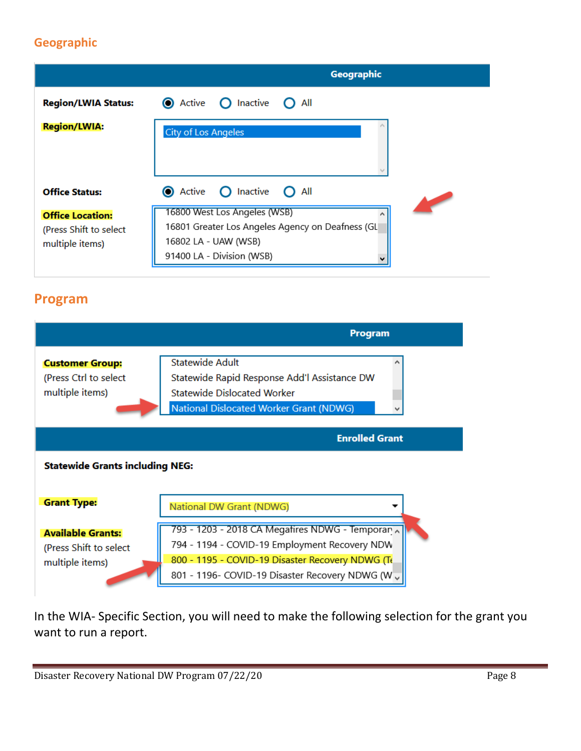#### **Geographic**

|                                                                      | Geographic                                                                                                                            |
|----------------------------------------------------------------------|---------------------------------------------------------------------------------------------------------------------------------------|
| <b>Region/LWIA Status:</b>                                           | <b>O</b> Active<br>$\bigcap$ Inactive<br>All                                                                                          |
| <b>Region/LWIA:</b>                                                  | <b>City of Los Angeles</b>                                                                                                            |
|                                                                      |                                                                                                                                       |
| <b>Office Status:</b>                                                | $\bigcap$ Inactive<br><b>O</b> Active<br>$\Omega$ All                                                                                 |
| <b>Office Location:</b><br>(Press Shift to select<br>multiple items) | 16800 West Los Angeles (WSB)<br>16801 Greater Los Angeles Agency on Deafness (GL<br>16802 LA - UAW (WSB)<br>91400 LA - Division (WSB) |

### **Program**



In the WIA‐ Specific Section, you will need to make the following selection for the grant you want to run a report.